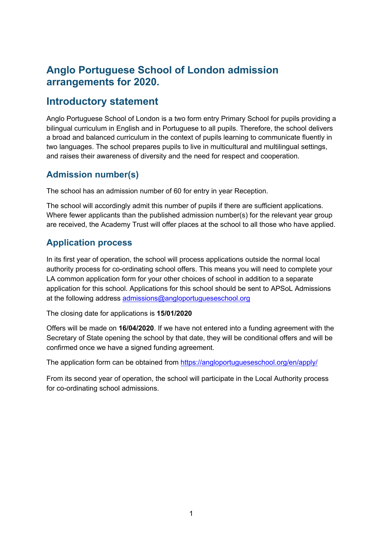# **Anglo Portuguese School of London admission arrangements for 2020.**

# **Introductory statement**

Anglo Portuguese School of London is a two form entry Primary School for pupils providing a bilingual curriculum in English and in Portuguese to all pupils. Therefore, the school delivers a broad and balanced curriculum in the context of pupils learning to communicate fluently in two languages. The school prepares pupils to live in multicultural and multilingual settings, and raises their awareness of diversity and the need for respect and cooperation.

## **Admission number(s)**

The school has an admission number of 60 for entry in year Reception.

The school will accordingly admit this number of pupils if there are sufficient applications. Where fewer applicants than the published admission number(s) for the relevant year group are received, the Academy Trust will offer places at the school to all those who have applied.

## **Application process**

In its first year of operation, the school will process applications outside the normal local authority process for co-ordinating school offers. This means you will need to complete your LA common application form for your other choices of school in addition to a separate application for this school. Applications for this school should be sent to APSoL Admissions at the following address admissions@angloportugueseschool.org

The closing date for applications is **15/01/2020**

Offers will be made on **16/04/2020**. If we have not entered into a funding agreement with the Secretary of State opening the school by that date, they will be conditional offers and will be confirmed once we have a signed funding agreement.

The application form can be obtained from https://angloportugueseschool.org/en/apply/

From its second year of operation, the school will participate in the Local Authority process for co-ordinating school admissions.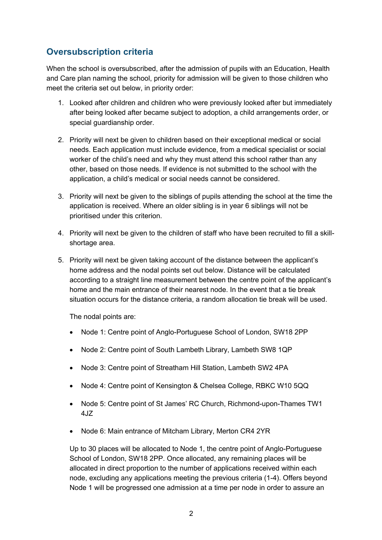### **Oversubscription criteria**

When the school is oversubscribed, after the admission of pupils with an Education, Health and Care plan naming the school, priority for admission will be given to those children who meet the criteria set out below, in priority order:

- 1. Looked after children and children who were previously looked after but immediately after being looked after became subject to adoption, a child arrangements order, or special guardianship order.
- 2. Priority will next be given to children based on their exceptional medical or social needs. Each application must include evidence, from a medical specialist or social worker of the child's need and why they must attend this school rather than any other, based on those needs. If evidence is not submitted to the school with the application, a child's medical or social needs cannot be considered.
- 3. Priority will next be given to the siblings of pupils attending the school at the time the application is received. Where an older sibling is in year 6 siblings will not be prioritised under this criterion.
- 4. Priority will next be given to the children of staff who have been recruited to fill a skillshortage area.
- 5. Priority will next be given taking account of the distance between the applicant's home address and the nodal points set out below. Distance will be calculated according to a straight line measurement between the centre point of the applicant's home and the main entrance of their nearest node. In the event that a tie break situation occurs for the distance criteria, a random allocation tie break will be used.

The nodal points are:

- Node 1: Centre point of Anglo-Portuguese School of London, SW18 2PP
- Node 2: Centre point of South Lambeth Library, Lambeth SW8 1QP
- Node 3: Centre point of Streatham Hill Station, Lambeth SW2 4PA
- Node 4: Centre point of Kensington & Chelsea College, RBKC W10 5QQ
- Node 5: Centre point of St James' RC Church, Richmond-upon-Thames TW1 4JZ
- Node 6: Main entrance of Mitcham Library, Merton CR4 2YR

Up to 30 places will be allocated to Node 1, the centre point of Anglo-Portuguese School of London, SW18 2PP. Once allocated, any remaining places will be allocated in direct proportion to the number of applications received within each node, excluding any applications meeting the previous criteria (1-4). Offers beyond Node 1 will be progressed one admission at a time per node in order to assure an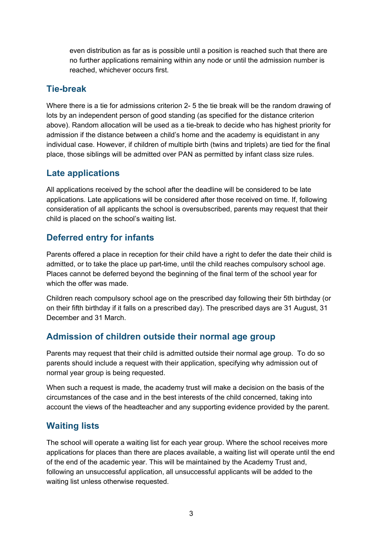even distribution as far as is possible until a position is reached such that there are no further applications remaining within any node or until the admission number is reached, whichever occurs first.

#### **Tie-break**

Where there is a tie for admissions criterion 2- 5 the tie break will be the random drawing of lots by an independent person of good standing (as specified for the distance criterion above). Random allocation will be used as a tie-break to decide who has highest priority for admission if the distance between a child's home and the academy is equidistant in any individual case. However, if children of multiple birth (twins and triplets) are tied for the final place, those siblings will be admitted over PAN as permitted by infant class size rules.

### **Late applications**

All applications received by the school after the deadline will be considered to be late applications. Late applications will be considered after those received on time. If, following consideration of all applicants the school is oversubscribed, parents may request that their child is placed on the school's waiting list.

### **Deferred entry for infants**

Parents offered a place in reception for their child have a right to defer the date their child is admitted, or to take the place up part-time, until the child reaches compulsory school age. Places cannot be deferred beyond the beginning of the final term of the school year for which the offer was made.

Children reach compulsory school age on the prescribed day following their 5th birthday (or on their fifth birthday if it falls on a prescribed day). The prescribed days are 31 August, 31 December and 31 March.

#### **Admission of children outside their normal age group**

Parents may request that their child is admitted outside their normal age group. To do so parents should include a request with their application, specifying why admission out of normal year group is being requested.

When such a request is made, the academy trust will make a decision on the basis of the circumstances of the case and in the best interests of the child concerned, taking into account the views of the headteacher and any supporting evidence provided by the parent.

#### **Waiting lists**

The school will operate a waiting list for each year group. Where the school receives more applications for places than there are places available, a waiting list will operate until the end of the end of the academic year. This will be maintained by the Academy Trust and, following an unsuccessful application, all unsuccessful applicants will be added to the waiting list unless otherwise requested.